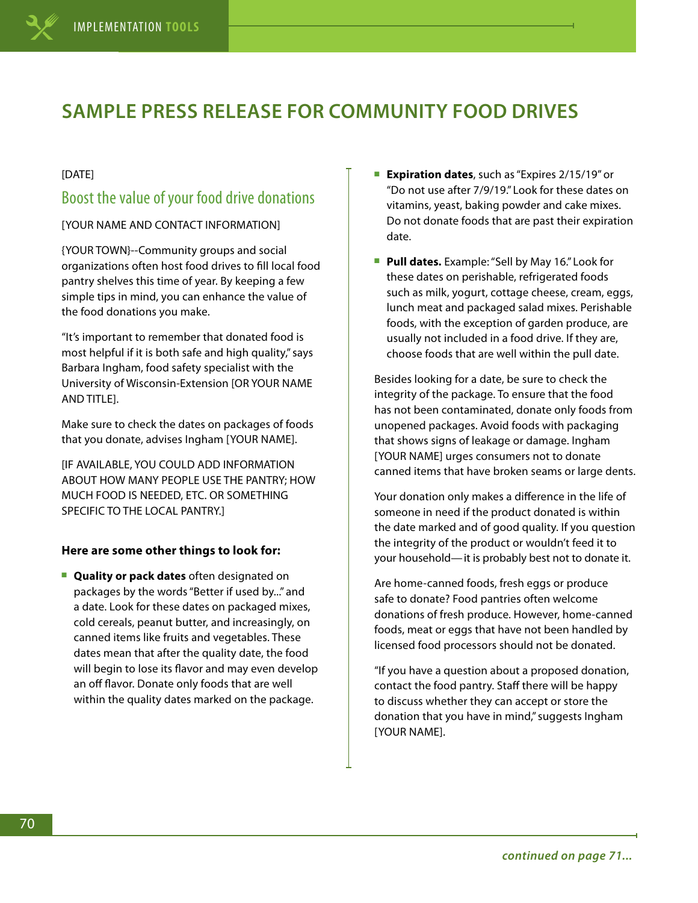# **SAMPLE PRESS RELEASE FOR COMMUNITY FOOD DRIVES**

### [DATE]

## Boost the value of your food drive donations

[YOUR NAME AND CONTACT INFORMATION]

{YOUR TOWN}--Community groups and social organizations often host food drives to fill local food pantry shelves this time of year. By keeping a few simple tips in mind, you can enhance the value of the food donations you make.

"It's important to remember that donated food is most helpful if it is both safe and high quality," says Barbara Ingham, food safety specialist with the University of Wisconsin-Extension [OR YOUR NAME AND TITLE].

Make sure to check the dates on packages of foods that you donate, advises Ingham [YOUR NAME].

[IF AVAILABLE, YOU COULD ADD INFORMATION ABOUT HOW MANY PEOPLE USE THE PANTRY; HOW MUCH FOOD IS NEEDED, ETC. OR SOMETHING SPECIFIC TO THE LOCAL PANTRY.]

#### **Here are some other things to look for:**

■ **Quality or pack dates** often designated on packages by the words "Better if used by..." and a date. Look for these dates on packaged mixes, cold cereals, peanut butter, and increasingly, on canned items like fruits and vegetables. These dates mean that after the quality date, the food will begin to lose its flavor and may even develop an off flavor. Donate only foods that are well within the quality dates marked on the package.

- **Expiration dates**, such as "Expires 2/15/19" or "Do not use after 7/9/19." Look for these dates on vitamins, yeast, baking powder and cake mixes. Do not donate foods that are past their expiration date.
- **Pull dates.** Example: "Sell by May 16." Look for these dates on perishable, refrigerated foods such as milk, yogurt, cottage cheese, cream, eggs, lunch meat and packaged salad mixes. Perishable foods, with the exception of garden produce, are usually not included in a food drive. If they are, choose foods that are well within the pull date.

Besides looking for a date, be sure to check the integrity of the package. To ensure that the food has not been contaminated, donate only foods from unopened packages. Avoid foods with packaging that shows signs of leakage or damage. Ingham [YOUR NAME] urges consumers not to donate canned items that have broken seams or large dents.

Your donation only makes a difference in the life of someone in need if the product donated is within the date marked and of good quality. If you question the integrity of the product or wouldn't feed it to your household—it is probably best not to donate it.

Are home-canned foods, fresh eggs or produce safe to donate? Food pantries often welcome donations of fresh produce. However, home-canned foods, meat or eggs that have not been handled by licensed food processors should not be donated.

"If you have a question about a proposed donation, contact the food pantry. Staff there will be happy to discuss whether they can accept or store the donation that you have in mind," suggests Ingham [YOUR NAME].